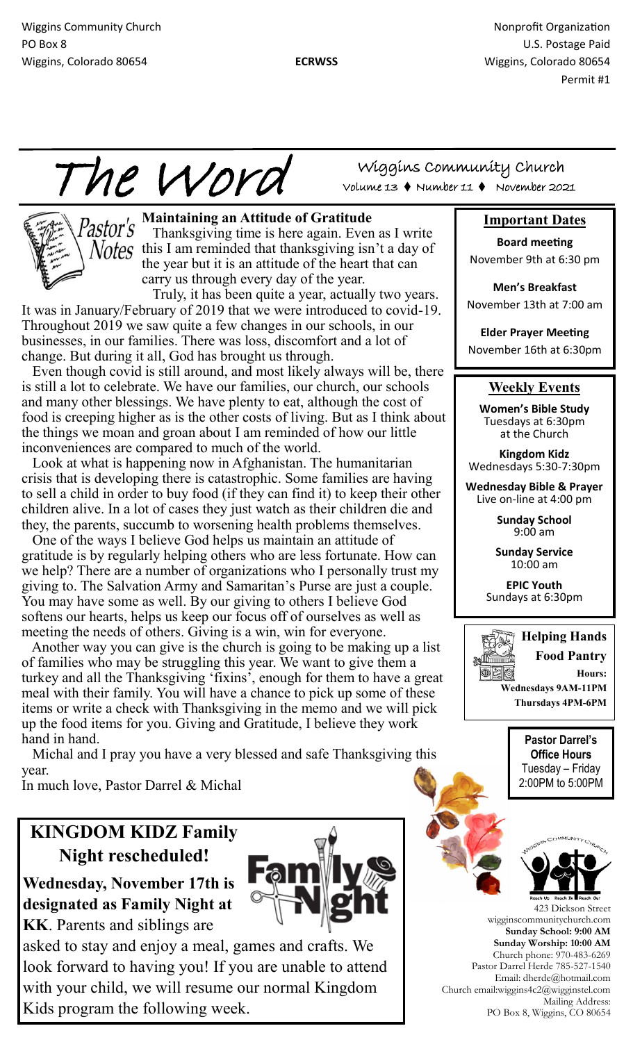Wiggins Community Church Nonprofit Organization Nonprofit Organization PO Box 8 U.S. Postage Paid Wiggins, Colorado 80654 **ECRWSS** Wiggins, Colorado 80654

Permit #1

The Word



Pastor's Maintaining an Attitude of Gratitude Thanksgiving time is here again. Even as I write  $Votes$  this I am reminded that thanksgiving isn't a day of the year but it is an attitude of the heart that can carry us through every day of the year.

 Truly, it has been quite a year, actually two years. It was in January/February of 2019 that we were introduced to covid-19. Throughout 2019 we saw quite a few changes in our schools, in our businesses, in our families. There was loss, discomfort and a lot of change. But during it all, God has brought us through.

 Even though covid is still around, and most likely always will be, there is still a lot to celebrate. We have our families, our church, our schools and many other blessings. We have plenty to eat, although the cost of food is creeping higher as is the other costs of living. But as I think about the things we moan and groan about I am reminded of how our little inconveniences are compared to much of the world.

 Look at what is happening now in Afghanistan. The humanitarian crisis that is developing there is catastrophic. Some families are having to sell a child in order to buy food (if they can find it) to keep their other children alive. In a lot of cases they just watch as their children die and they, the parents, succumb to worsening health problems themselves.

 One of the ways I believe God helps us maintain an attitude of gratitude is by regularly helping others who are less fortunate. How can we help? There are a number of organizations who I personally trust my giving to. The Salvation Army and Samaritan's Purse are just a couple. You may have some as well. By our giving to others I believe God softens our hearts, helps us keep our focus off of ourselves as well as meeting the needs of others. Giving is a win, win for everyone.

 Another way you can give is the church is going to be making up a list of families who may be struggling this year. We want to give them a turkey and all the Thanksgiving 'fixins', enough for them to have a great meal with their family. You will have a chance to pick up some of these items or write a check with Thanksgiving in the memo and we will pick up the food items for you. Giving and Gratitude, I believe they work hand in hand.

 Michal and I pray you have a very blessed and safe Thanksgiving this year.

In much love, Pastor Darrel & Michal

# **KINGDOM KIDZ Family Night rescheduled!**

**Wednesday, November 17th is designated as Family Night at KK**. Parents and siblings are



asked to stay and enjoy a meal, games and crafts. We look forward to having you! If you are unable to attend with your child, we will resume our normal Kingdom Kids program the following week.

Wiggins Community Church Volume 13 Number 11 November 2021

## **Important Dates**

**Board meeting**  November 9th at 6:30 pm

**Men's Breakfast** November 13th at 7:00 am

**Elder Prayer Meeting** November 16th at 6:30pm

## **Weekly Events**

**Women's Bible Study**  Tuesdays at 6:30pm at the Church

**Kingdom Kidz** Wednesdays 5:30-7:30pm

**Wednesday Bible & Prayer**  Live on-line at 4:00 pm

> **Sunday School** 9:00 am

**Sunday Service** 10:00 am

**EPIC Youth** Sundays at 6:30pm



**Pastor Darrel's Office Hours** Tuesday – Friday 2:00PM to 5:00PM



423 Dickson Street wigginscommunitychurch.com **Sunday School: 9:00 AM Sunday Worship: 10:00 AM**  Church phone: 970-483-6269 Pastor Darrel Herde 785-527-1540 Email: dherde@hotmail.com Church email:wiggins4c2@wigginstel.com Mailing Address: PO Box 8, Wiggins, CO 80654